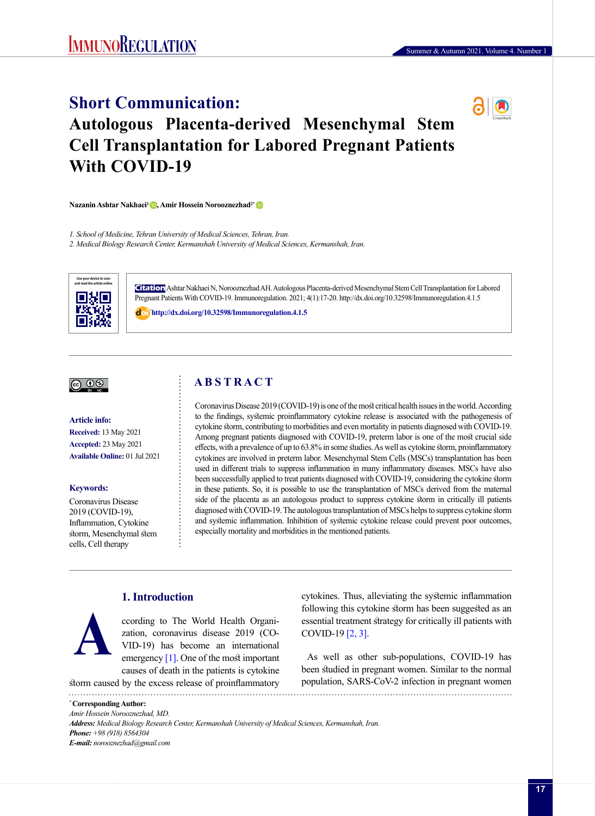# **Short Communication:**



# **Autologous Placenta-derived Mesenchymal Stem Cell Transplantation for Labored Pregnant Patients With COVID-19**

**Nazanin Ashtar Nakhaei[1 ,](https://orcid.org/0000-0002-2704-4025) Amir Hossein Norooznezhad2[\\*](https://orcid.org/0000-0002-9987-7093)** 

*1. School of Medicine, Tehran University of Medical Sciences, Tehran, Iran.*

*2. Medical Biology Research Center, Kermanshah University of Medical Sciences, Kermanshah, Iran.*



**Citation** Ashtar Nakhaei N, Norooznezhad AH. Autologous Placenta-derived Mesenchymal Stem Cell Transplantation for Labored Pregnant Patients With COVID-19. Immunoregulation. 2021; 4(1):17-20. http://dx.doi.org/10.32598/Immunoregulation.4.1.5

: **<http://dx.doi.org/10.32598/Immunoregulation.4.1.5>**

## <u>@ 00</u>

#### **Article info:**

**Received:** 13 May 2021 **Accepted:** 23 May 2021 **Available Online:** 01 Jul 2021

#### **Keywords:**

Coronavirus Disease 2019 (COVID-19), Inflammation, Cytokine storm, Mesenchymal stem cells, Cell therapy

# **A B S T R A C T**

Coronavirus Disease 2019 (COVID-19) is one of the most critical health issues in the world. According to the findings, systemic proinflammatory cytokine release is associated with the pathogenesis of cytokine storm, contributing to morbidities and even mortality in patients diagnosed with COVID-19. Among pregnant patients diagnosed with COVID-19, preterm labor is one of the most crucial side effects, with a prevalence of up to 63.8% in some studies. As well as cytokine storm, proinflammatory cytokines are involved in preterm labor. Mesenchymal Stem Cells (MSCs) transplantation has been used in different trials to suppress inflammation in many inflammatory diseases. MSCs have also been successfully applied to treat patients diagnosed with COVID-19, considering the cytokine storm in these patients. So, it is possible to use the transplantation of MSCs derived from the maternal side of the placenta as an autologous product to suppress cytokine storm in critically ill patients diagnosed with COVID-19. The autologous transplantation of MSCs helps to suppress cytokine storm and systemic inflammation. Inhibition of systemic cytokine release could prevent poor outcomes, especially mortality and morbidities in the mentioned patients.

## **1. Introduction**



ccording to The World Health Organization, coronavirus disease 2019 (CO-VID-19) has become an international emergency [\[1\]](#page-2-0). One of the most important causes of death in the patients is cytokine storm caused by the excess release of proinflammatory

cytokines. Thus, alleviating the systemic inflammation following this cytokine storm has been suggested as an essential treatment strategy for critically ill patients with COVID-19 [\[2,](#page-2-1) [3\].](#page-2-2)

As well as other sub-populations, COVID-19 has been studied in pregnant women. Similar to the normal population, SARS-CoV-2 infection in pregnant women 

**\* Corresponding Author:** *Amir Hossein Norooznezhad, MD. Address: Medical Biology Research Center, Kermanshah University of Medical Sciences, Kermanshah, Iran. Phone: +98 (918) 8564304 E-mail: norooznezhad@gmail.com*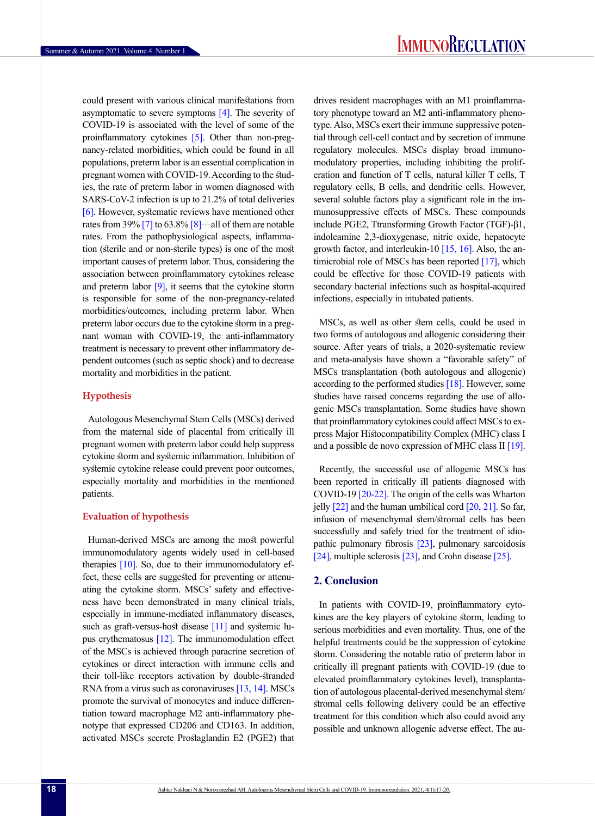could present with various clinical manifestations from asymptomatic to severe symptoms [\[4\].](#page-2-3) The severity of COVID-19 is associated with the level of some of the proinflammatory cytokines [\[5\].](#page-2-4) Other than non-pregnancy-related morbidities, which could be found in all populations, preterm labor is an essential complication in pregnant women with COVID-19. According to the studies, the rate of preterm labor in women diagnosed with SARS-CoV-2 infection is up to 21.2% of total deliveries [\[6\].](#page-2-5) However, systematic reviews have mentioned other rates from 39% [\[7\]](#page-2-6) to  $63.8\%$  [\[8\]](#page-2-7)—all of them are notable rates. From the pathophysiological aspects, inflammation (sterile and or non-sterile types) is one of the most important causes of preterm labor. Thus, considering the association between proinflammatory cytokines release and preterm labor  $[9]$ , it seems that the cytokine storm is responsible for some of the non-pregnancy-related morbidities/outcomes, including preterm labor. When preterm labor occurs due to the cytokine storm in a pregnant woman with COVID-19, the anti-inflammatory treatment is necessary to prevent other inflammatory dependent outcomes (such as septic shock) and to decrease mortality and morbidities in the patient.

#### **Hypothesis**

Autologous Mesenchymal Stem Cells (MSCs) derived from the maternal side of placental from critically ill pregnant women with preterm labor could help suppress cytokine storm and systemic inflammation. Inhibition of systemic cytokine release could prevent poor outcomes, especially mortality and morbidities in the mentioned patients.

#### **Evaluation of hypothesis**

Human-derived MSCs are among the most powerful immunomodulatory agents widely used in cell-based therapies  $[10]$ . So, due to their immunomodulatory effect, these cells are suggested for preventing or attenuating the cytokine storm. MSCs' safety and effectiveness have been demonstrated in many clinical trials, especially in immune-mediated inflammatory diseases, such as graft-versus-host disease [\[11\]](#page-2-10) and systemic lupus erythematosus [\[12\]](#page-2-11). The immunomodulation effect of the MSCs is achieved through paracrine secretion of cytokines or direct interaction with immune cells and their toll-like receptors activation by double-stranded RNA from a virus such as coronaviruses  $[13, 14]$  $[13, 14]$ . MSCs promote the survival of monocytes and induce differentiation toward macrophage M2 anti-inflammatory phenotype that expressed CD206 and CD163. In addition, activated MSCs secrete Prostaglandin E2 (PGE2) that drives resident macrophages with an M1 proinflammatory phenotype toward an M2 anti-inflammatory phenotype. Also, MSCs exert their immune suppressive potential through cell-cell contact and by secretion of immune regulatory molecules. MSCs display broad immunomodulatory properties, including inhibiting the proliferation and function of T cells, natural killer T cells, T regulatory cells, B cells, and dendritic cells. However, several soluble factors play a significant role in the immunosuppressive effects of MSCs. These compounds include PGE2, Ttransforming Growth Factor (TGF)-β1, indoleamine 2,3-dioxygenase, nitric oxide, hepatocyte growth factor, and interleukin-10  $[15, 16]$  $[15, 16]$ . Also, the antimicrobial role of MSCs has been reported [\[17\],](#page-2-16) which could be effective for those COVID-19 patients with secondary bacterial infections such as hospital-acquired infections, especially in intubated patients.

MSCs, as well as other stem cells, could be used in two forms of autologous and allogenic considering their source. After years of trials, a 2020-systematic review and meta-analysis have shown a "favorable safety" of MSCs transplantation (both autologous and allogenic) according to the performed studies [\[18\]](#page-2-17). However, some studies have raised concerns regarding the use of allogenic MSCs transplantation. Some studies have shown that proinflammatory cytokines could affect MSCs to express Major Histocompatibility Complex (MHC) class I and a possible de novo expression of MHC class II [\[19\]](#page-3-0).

Recently, the successful use of allogenic MSCs has been reported in critically ill patients diagnosed with COVID-19 [\[20-22\]](#page-3-1). The origin of the cells was Wharton jelly  $[22]$  and the human umbilical cord  $[20, 21]$  $[20, 21]$  $[20, 21]$ . So far, infusion of mesenchymal stem/stromal cells has been successfully and safely tried for the treatment of idiopathic pulmonary fibrosis [\[23\]](#page-3-4), pulmonary sarcoidosis [\[24\],](#page-3-5) multiple sclerosis [\[23\]](#page-3-4), and Crohn disease [\[25\]](#page-3-6).

#### **2. Conclusion**

In patients with COVID-19, proinflammatory cytokines are the key players of cytokine storm, leading to serious morbidities and even mortality. Thus, one of the helpful treatments could be the suppression of cytokine storm. Considering the notable ratio of preterm labor in critically ill pregnant patients with COVID-19 (due to elevated proinflammatory cytokines level), transplantation of autologous placental-derived mesenchymal stem/ stromal cells following delivery could be an effective treatment for this condition which also could avoid any possible and unknown allogenic adverse effect. The au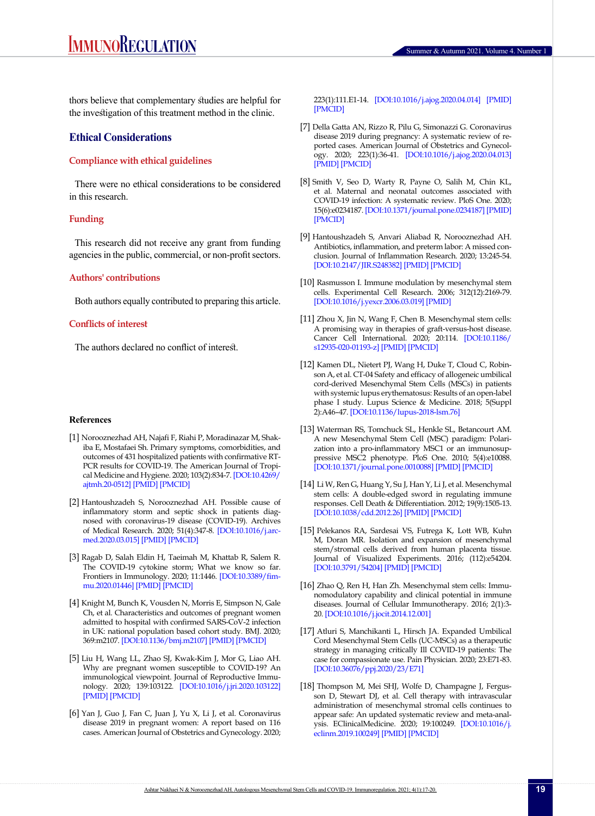thors believe that complementary studies are helpful for the investigation of this treatment method in the clinic.

#### **Ethical Considerations**

#### **Compliance with ethical guidelines**

There were no ethical considerations to be considered in this research.

#### **Funding**

This research did not receive any grant from funding agencies in the public, commercial, or non-profit sectors.

#### **Authors' contributions**

Both authors equally contributed to preparing this article.

#### **Conflicts of interest**

The authors declared no conflict of interest.

#### **References**

- <span id="page-2-0"></span>[1] Norooznezhad AH, Najafi F, Riahi P, Moradinazar M, Shakiba E, Mostafaei Sh. Primary symptoms, comorbidities, and outcomes of 431 hospitalized patients with confirmative RT-PCR results for COVID-19. The American Journal of Tropical Medicine and Hygiene. 2020; 103(2):834-7. [\[DOI:10.4269/](https://doi.org/10.4269/ajtmh.20-0512) [ajtmh.20-0512\]](https://doi.org/10.4269/ajtmh.20-0512) [[PMID](https://www.ncbi.nlm.nih.gov/pubmed/32588801)] [\[PMCID](http://www.ncbi.nlm.nih.gov/pmc/articles/PMC7410435)]
- <span id="page-2-1"></span>[2] Hantoushzadeh S, Norooznezhad AH. Possible cause of inflammatory storm and septic shock in patients diagnosed with coronavirus-19 disease (COVID-19). Archives of Medical Research. 2020; 51(4):347-8. [\[DOI:10.1016/j.arc](https://doi.org/10.1016/j.arcmed.2020.03.015)[med.2020.03.015](https://doi.org/10.1016/j.arcmed.2020.03.015)] [\[PMID\]](https://www.ncbi.nlm.nih.gov/pubmed/32340759) [[PMCID\]](http://www.ncbi.nlm.nih.gov/pmc/articles/PMC7129207)
- <span id="page-2-2"></span>[3] Ragab D, Salah Eldin H, Taeimah M, Khattab R, Salem R. The COVID-19 cytokine storm; What we know so far. Frontiers in Immunology. 2020; 11:1446. [\[DOI:10.3389/fim](https://doi.org/10.3389/fimmu.2020.01446)[mu.2020.01446\]](https://doi.org/10.3389/fimmu.2020.01446) [[PMID](https://www.ncbi.nlm.nih.gov/pubmed/32612617)] [\[PMCID](http://www.ncbi.nlm.nih.gov/pmc/articles/PMC7308649)]
- <span id="page-2-3"></span>[4] Knight M, Bunch K, Vousden N, Morris E, Simpson N, Gale Ch, et al. Characteristics and outcomes of pregnant women admitted to hospital with confirmed SARS-CoV-2 infection in UK: national population based cohort study. BMJ. 2020; 369:m2107. [\[DOI:10.1136/bmj.m2107\]](https://doi.org/10.1136/bmj.m2107) [[PMID](https://www.ncbi.nlm.nih.gov/pubmed/32513659)] [\[PMCID](http://www.ncbi.nlm.nih.gov/pmc/articles/PMC7277610)]
- <span id="page-2-4"></span>[5] Liu H, Wang LL, Zhao SJ, Kwak-Kim J, Mor G, Liao AH. Why are pregnant women susceptible to COVID-19? An immunological viewpoint. Journal of Reproductive Immunology. 2020; 139:103122. [\[DOI:10.1016/j.jri.2020.103122](https://doi.org/10.1016/j.jri.2020.103122)] [[PMID](https://www.ncbi.nlm.nih.gov/pubmed/32244166)] [\[PMCID](http://www.ncbi.nlm.nih.gov/pmc/articles/PMC7156163)]
- <span id="page-2-5"></span>[6] Yan J, Guo J, Fan C, Juan J, Yu X, Li J, et al. Coronavirus disease 2019 in pregnant women: A report based on 116 cases. American Journal of Obstetrics and Gynecology. 2020;

223(1):111.E1-14. [\[DOI:10.1016/j.ajog.2020.04.014](https://doi.org/10.1016/j.ajog.2020.04.014)] [\[PMID\]](https://www.ncbi.nlm.nih.gov/pubmed/32335053) [\[PMCID](http://www.ncbi.nlm.nih.gov/pmc/articles/PMC7177142)]

- <span id="page-2-6"></span>[7] Della Gatta AN, Rizzo R, Pilu G, Simonazzi G. Coronavirus disease 2019 during pregnancy: A systematic review of reported cases. American Journal of Obstetrics and Gynecology. 2020; 223(1):36-41. [\[DOI:10.1016/j.ajog.2020.04.013\]](https://doi.org/10.1016/j.ajog.2020.04.013) [\[PMID\]](https://www.ncbi.nlm.nih.gov/pubmed/32311350) [[PMCID\]](http://www.ncbi.nlm.nih.gov/pmc/articles/PMC7165087)
- <span id="page-2-7"></span>[8] Smith V, Seo D, Warty R, Payne O, Salih M, Chin KL, et al. Maternal and neonatal outcomes associated with COVID-19 infection: A systematic review. PloS One. 2020; 15(6):e0234187. [[DOI:10.1371/journal.pone.0234187](https://doi.org/10.1371/journal.pone.0234187)] [\[PMID\]](https://www.ncbi.nlm.nih.gov/pubmed/32497090) [\[PMCID](http://www.ncbi.nlm.nih.gov/pmc/articles/PMC7272020)]
- <span id="page-2-8"></span>[9] Hantoushzadeh S, Anvari Aliabad R, Norooznezhad AH. Antibiotics, inflammation, and preterm labor: A missed conclusion. Journal of Inflammation Research. 2020; 13:245-54. [\[DOI:10.2147/JIR.S248382](https://doi.org/10.2147/JIR.S248382)] [\[PMID\]](https://www.ncbi.nlm.nih.gov/pubmed/32547156) [[PMCID\]](http://www.ncbi.nlm.nih.gov/pmc/articles/PMC7261809)
- <span id="page-2-9"></span>[10] Rasmusson I. Immune modulation by mesenchymal stem cells. Experimental Cell Research. 2006; 312(12):2169-79. [\[DOI:10.1016/j.yexcr.2006.03.019](https://doi.org/10.1016/j.yexcr.2006.03.019)] [\[PMID\]](https://www.ncbi.nlm.nih.gov/pubmed/16631737)
- <span id="page-2-10"></span>[11] Zhou X, Jin N, Wang F, Chen B. Mesenchymal stem cells: A promising way in therapies of graft-versus-host disease. Cancer Cell International. 2020; 20:114. [\[DOI:10.1186/](https://doi.org/10.1186/s12935-020-01193-z) [s12935-020-01193-z](https://doi.org/10.1186/s12935-020-01193-z)] [\[PMID\]](https://www.ncbi.nlm.nih.gov/pubmed/32280306) [[PMCID\]](http://www.ncbi.nlm.nih.gov/pmc/articles/PMC7137413)
- <span id="page-2-11"></span>[12] Kamen DL, Nietert PJ, Wang H, Duke T, Cloud C, Robinson A, et al. CT-04 Safety and efficacy of allogeneic umbilical cord-derived Mesenchymal Stem Cells (MSCs) in patients with systemic lupus erythematosus: Results of an open-label phase I study. Lupus Science & Medicine. 2018; 5(Suppl 2):A46–47. [\[DOI:10.1136/lupus-2018-lsm.76](https://doi.org/10.1136/lupus-2018-lsm.76)]
- <span id="page-2-12"></span>[13] Waterman RS, Tomchuck SL, Henkle SL, Betancourt AM. A new Mesenchymal Stem Cell (MSC) paradigm: Polarization into a pro-inflammatory MSC1 or an immunosuppressive MSC2 phenotype. PloS One. 2010; 5(4):e10088. [\[DOI:10.1371/journal.pone.0010088](https://doi.org/10.1371/journal.pone.0010088)] [\[PMID\]](https://www.ncbi.nlm.nih.gov/pubmed/20436665) [\[PMCID\]](http://www.ncbi.nlm.nih.gov/pmc/articles/PMC2859930)
- <span id="page-2-13"></span>[14] Li W, Ren G, Huang Y, Su J, Han Y, Li J, et al. Mesenchymal stem cells: A double-edged sword in regulating immune responses. Cell Death & Differentiation. 2012; 19(9):1505-13. [\[DOI:10.1038/cdd.2012.26\]](https://doi.org/10.1038/cdd.2012.26) [[PMID](https://www.ncbi.nlm.nih.gov/pubmed/22421969)] [\[PMCID](http://www.ncbi.nlm.nih.gov/pmc/articles/PMC3422473)]
- <span id="page-2-14"></span>[15] Pelekanos RA, Sardesai VS, Futrega K, Lott WB, Kuhn M, Doran MR. Isolation and expansion of mesenchymal stem/stromal cells derived from human placenta tissue. Journal of Visualized Experiments. 2016; (112):e54204. [\[DOI:10.3791/54204\]](https://doi.org/10.3791/54204) [\[PMID](https://www.ncbi.nlm.nih.gov/pubmed/27340821)] [\[PMCID](http://www.ncbi.nlm.nih.gov/pmc/articles/PMC4927767)]
- <span id="page-2-15"></span>[16] Zhao Q, Ren H, Han Zh. Mesenchymal stem cells: Immunomodulatory capability and clinical potential in immune diseases. Journal of Cellular Immunotherapy. 2016; 2(1):3- 20. [[DOI:10.1016/j.jocit.2014.12.001](https://doi.org/10.1016/j.jocit.2014.12.001)]
- <span id="page-2-16"></span>[17] Atluri S, Manchikanti L, Hirsch JA. Expanded Umbilical Cord Mesenchymal Stem Cells (UC-MSCs) as a therapeutic strategy in managing critically Ill COVID-19 patients: The case for compassionate use. Pain Physician. 2020; 23:E71-83. [\[DOI:10.36076/ppj.2020/23/E71\]](https://doi.org/10.36076/ppj.2020/23/E71)
- <span id="page-2-17"></span>[18] Thompson M, Mei SHJ, Wolfe D, Champagne J, Fergusson D, Stewart DJ, et al. Cell therapy with intravascular administration of mesenchymal stromal cells continues to appear safe: An updated systematic review and meta-analysis. EClinicalMedicine. 2020; 19:100249. [[DOI:10.1016/j.](https://doi.org/10.1016/j.eclinm.2019.100249) [eclinm.2019.100249\]](https://doi.org/10.1016/j.eclinm.2019.100249) [\[PMID](https://www.ncbi.nlm.nih.gov/pubmed/31989101)] [\[PMCID](http://www.ncbi.nlm.nih.gov/pmc/articles/PMC6970160)]